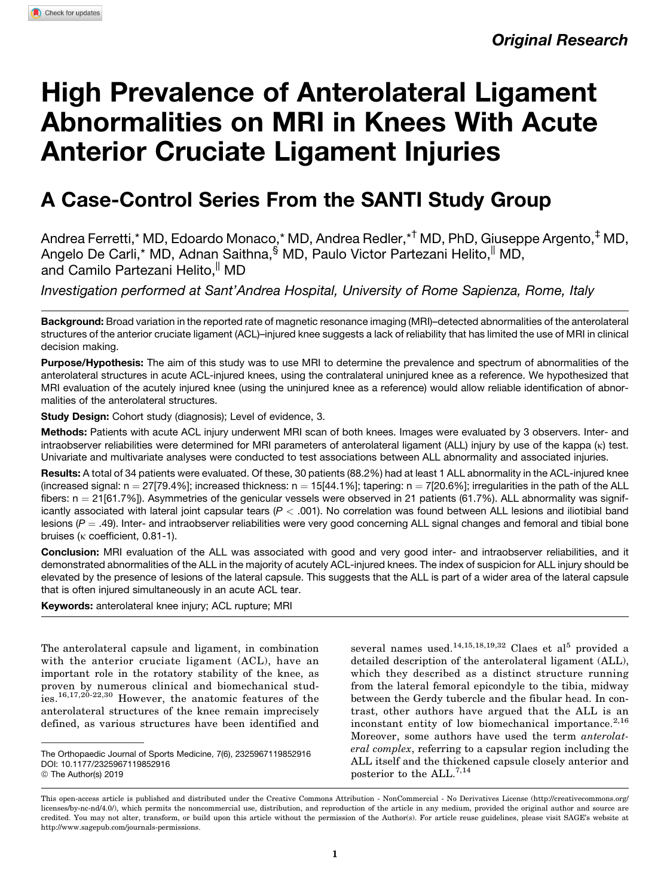# High Prevalence of Anterolateral Ligament Abnormalities on MRI in Knees With Acute Anterior Cruciate Ligament Injuries

# A Case-Control Series From the SANTI Study Group

Andrea Ferretti,\* MD, Edoardo Monaco,\* MD, Andrea Redler,\*† MD, PhD, Giuseppe Argento,‡ MD, Angelo De Carli,\* MD, Adnan Saithna, <sup>§</sup> MD, Paulo Victor Partezani Helito, <sup>||</sup> MD, and Camilo Partezani Helito, MD

Investigation performed at Sant'Andrea Hospital, University of Rome Sapienza, Rome, Italy

Background: Broad variation in the reported rate of magnetic resonance imaging (MRI)–detected abnormalities of the anterolateral structures of the anterior cruciate ligament (ACL)–injured knee suggests a lack of reliability that has limited the use of MRI in clinical decision making.

Purpose/Hypothesis: The aim of this study was to use MRI to determine the prevalence and spectrum of abnormalities of the anterolateral structures in acute ACL-injured knees, using the contralateral uninjured knee as a reference. We hypothesized that MRI evaluation of the acutely injured knee (using the uninjured knee as a reference) would allow reliable identification of abnormalities of the anterolateral structures.

Study Design: Cohort study (diagnosis); Level of evidence, 3.

Methods: Patients with acute ACL injury underwent MRI scan of both knees. Images were evaluated by 3 observers. Inter- and intraobserver reliabilities were determined for MRI parameters of anterolateral ligament (ALL) injury by use of the kappa (k) test. Univariate and multivariate analyses were conducted to test associations between ALL abnormality and associated injuries.

Results: A total of 34 patients were evaluated. Of these, 30 patients (88.2%) had at least 1 ALL abnormality in the ACL-injured knee (increased signal:  $n = 27[79.4\%]$ ; increased thickness:  $n = 15[44.1\%]$ ; tapering:  $n = 7[20.6\%]$ ; irregularities in the path of the ALL fibers:  $n = 21[61.7\%]$ ). Asymmetries of the genicular vessels were observed in 21 patients (61.7%). ALL abnormality was significantly associated with lateral joint capsular tears  $(P < .001)$ . No correlation was found between ALL lesions and iliotibial band lesions ( $P = .49$ ). Inter- and intraobserver reliabilities were very good concerning ALL signal changes and femoral and tibial bone bruises ( $\kappa$  coefficient, 0.81-1).

Conclusion: MRI evaluation of the ALL was associated with good and very good inter- and intraobserver reliabilities, and it demonstrated abnormalities of the ALL in the majority of acutely ACL-injured knees. The index of suspicion for ALL injury should be elevated by the presence of lesions of the lateral capsule. This suggests that the ALL is part of a wider area of the lateral capsule that is often injured simultaneously in an acute ACL tear.

Keywords: anterolateral knee injury; ACL rupture; MRI

The anterolateral capsule and ligament, in combination with the anterior cruciate ligament (ACL), have an important role in the rotatory stability of the knee, as proven by numerous clinical and biomechanical studies.16,17,20-22,30 However, the anatomic features of the anterolateral structures of the knee remain imprecisely defined, as various structures have been identified and

several names used.<sup>14,15,18,19,32</sup> Claes et al<sup>5</sup> provided a detailed description of the anterolateral ligament (ALL), which they described as a distinct structure running from the lateral femoral epicondyle to the tibia, midway between the Gerdy tubercle and the fibular head. In contrast, other authors have argued that the ALL is an inconstant entity of low biomechanical importance. $2,16$ Moreover, some authors have used the term anterolateral complex, referring to a capsular region including the ALL itself and the thickened capsule closely anterior and posterior to the ALL.<sup>7,14</sup>

The Orthopaedic Journal of Sports Medicine, 7(6), 2325967119852916 [DOI: 10.1177/2325967119852916](https://doi.org/10.1177/2325967119852916) © The Author(s) 2019

This open-access article is published and distributed under the Creative Commons Attribution - NonCommercial - No Derivatives License (http://creativecommons.org/ licenses/by-nc-nd/4.0/), which permits the noncommercial use, distribution, and reproduction of the article in any medium, provided the original author and source are credited. You may not alter, transform, or build upon this article without the permission of the Author(s). For article reuse guidelines, please visit SAGE's website at http://www.sagepub.com/journals-permissions.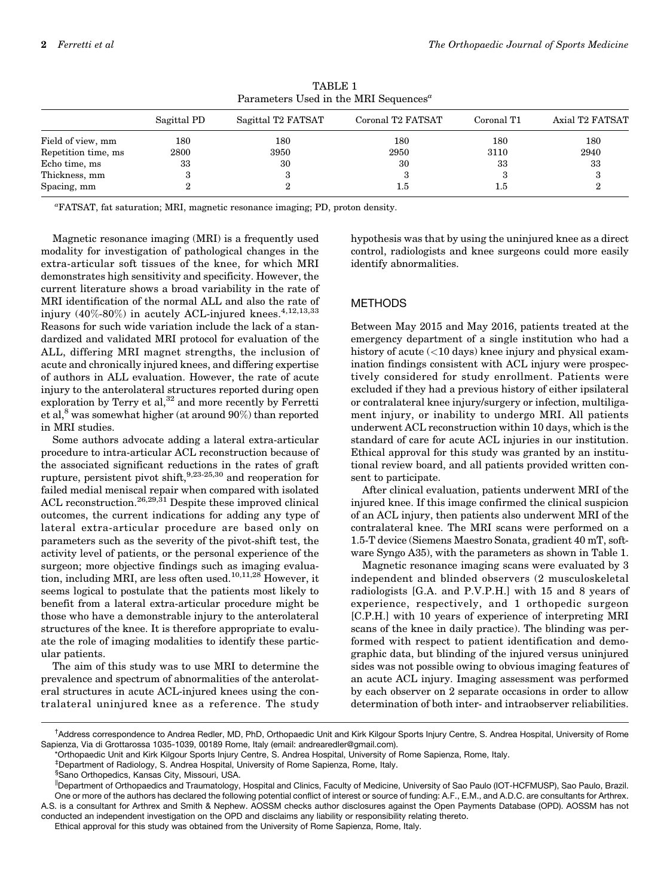| Farameters Used in the MINI Sequences |             |                    |                   |            |                 |  |
|---------------------------------------|-------------|--------------------|-------------------|------------|-----------------|--|
|                                       | Sagittal PD | Sagittal T2 FATSAT | Coronal T2 FATSAT | Coronal T1 | Axial T2 FATSAT |  |
| Field of view, mm                     | 180         | 180                | 180               | 180        | 180             |  |
| Repetition time, ms                   | 2800        | 3950               | 2950              | 3110       | 2940            |  |
| Echo time, ms                         | 33          | 30                 | 30                | 33         | 33              |  |
| Thickness, mm                         |             |                    |                   |            |                 |  |
| Spacing, mm                           |             |                    | $1.5\,$           | 1.5        |                 |  |

TABLE 1  $D$ exameters  $H$ sed in the MDI  $S$ equences<sup> $a$ </sup>

a FATSAT, fat saturation; MRI, magnetic resonance imaging; PD, proton density.

Magnetic resonance imaging (MRI) is a frequently used modality for investigation of pathological changes in the extra-articular soft tissues of the knee, for which MRI demonstrates high sensitivity and specificity. However, the current literature shows a broad variability in the rate of MRI identification of the normal ALL and also the rate of injury  $(40\% - 80\%)$  in acutely ACL-injured knees.<sup>4,12,13,33</sup> Reasons for such wide variation include the lack of a standardized and validated MRI protocol for evaluation of the ALL, differing MRI magnet strengths, the inclusion of acute and chronically injured knees, and differing expertise of authors in ALL evaluation. However, the rate of acute injury to the anterolateral structures reported during open exploration by Terry et al,<sup>32</sup> and more recently by Ferretti et al,<sup>8</sup> was somewhat higher (at around  $90\%$ ) than reported in MRI studies.

Some authors advocate adding a lateral extra-articular procedure to intra-articular ACL reconstruction because of the associated significant reductions in the rates of graft rupture, persistent pivot shift, $9,23-25,30$  and reoperation for failed medial meniscal repair when compared with isolated ACL reconstruction.<sup>26,29,31</sup> Despite these improved clinical outcomes, the current indications for adding any type of lateral extra-articular procedure are based only on parameters such as the severity of the pivot-shift test, the activity level of patients, or the personal experience of the surgeon; more objective findings such as imaging evaluation, including MRI, are less often used.10,11,28 However, it seems logical to postulate that the patients most likely to benefit from a lateral extra-articular procedure might be those who have a demonstrable injury to the anterolateral structures of the knee. It is therefore appropriate to evaluate the role of imaging modalities to identify these particular patients.

The aim of this study was to use MRI to determine the prevalence and spectrum of abnormalities of the anterolateral structures in acute ACL-injured knees using the contralateral uninjured knee as a reference. The study hypothesis was that by using the uninjured knee as a direct control, radiologists and knee surgeons could more easily identify abnormalities.

# METHODS

Between May 2015 and May 2016, patients treated at the emergency department of a single institution who had a history of acute (<10 days) knee injury and physical examination findings consistent with ACL injury were prospectively considered for study enrollment. Patients were excluded if they had a previous history of either ipsilateral or contralateral knee injury/surgery or infection, multiligament injury, or inability to undergo MRI. All patients underwent ACL reconstruction within 10 days, which is the standard of care for acute ACL injuries in our institution. Ethical approval for this study was granted by an institutional review board, and all patients provided written consent to participate.

After clinical evaluation, patients underwent MRI of the injured knee. If this image confirmed the clinical suspicion of an ACL injury, then patients also underwent MRI of the contralateral knee. The MRI scans were performed on a 1.5-T device (Siemens Maestro Sonata, gradient 40 mT, software Syngo A35), with the parameters as shown in Table 1.

Magnetic resonance imaging scans were evaluated by 3 independent and blinded observers (2 musculoskeletal radiologists [G.A. and P.V.P.H.] with 15 and 8 years of experience, respectively, and 1 orthopedic surgeon [C.P.H.] with 10 years of experience of interpreting MRI scans of the knee in daily practice). The blinding was performed with respect to patient identification and demographic data, but blinding of the injured versus uninjured sides was not possible owing to obvious imaging features of an acute ACL injury. Imaging assessment was performed by each observer on 2 separate occasions in order to allow determination of both inter- and intraobserver reliabilities.

<sup>†</sup> Address correspondence to Andrea Redler, MD, PhD, Orthopaedic Unit and Kirk Kilgour Sports Injury Centre, S. Andrea Hospital, University of Rome Sapienza, Via di Grottarossa 1035-1039, 00189 Rome, Italy (email: [andrearedler@gmail.com\)](mailto:andrearedler@gmail.com).

<sup>\*</sup>Orthopaedic Unit and Kirk Kilgour Sports Injury Centre, S. Andrea Hospital, University of Rome Sapienza, Rome, Italy.

<sup>‡</sup> Department of Radiology, S. Andrea Hospital, University of Rome Sapienza, Rome, Italy.

<sup>§</sup> Sano Orthopedics, Kansas City, Missouri, USA.

<sup>||</sup>Department of Orthopaedics and Traumatology, Hospital and Clinics, Faculty of Medicine, University of Sao Paulo (IOT-HCFMUSP), Sao Paulo, Brazil. One or more of the authors has declared the following potential conflict of interest or source of funding: A.F., E.M., and A.D.C. are consultants for Arthrex. A.S. is a consultant for Arthrex and Smith & Nephew. AOSSM checks author disclosures against the Open Payments Database (OPD). AOSSM has not conducted an independent investigation on the OPD and disclaims any liability or responsibility relating thereto.

Ethical approval for this study was obtained from the University of Rome Sapienza, Rome, Italy.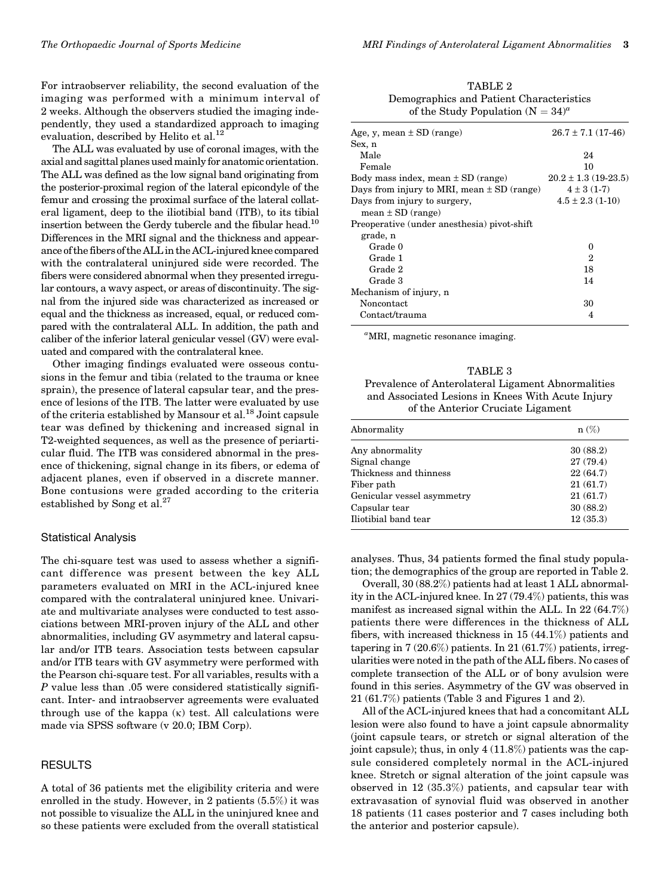For intraobserver reliability, the second evaluation of the imaging was performed with a minimum interval of 2 weeks. Although the observers studied the imaging independently, they used a standardized approach to imaging evaluation, described by Helito et al.<sup>12</sup>

The ALL was evaluated by use of coronal images, with the axial and sagittal planes usedmainly for anatomic orientation. The ALL was defined as the low signal band originating from the posterior-proximal region of the lateral epicondyle of the femur and crossing the proximal surface of the lateral collateral ligament, deep to the iliotibial band (ITB), to its tibial insertion between the Gerdy tubercle and the fibular head.<sup>10</sup> Differences in the MRI signal and the thickness and appearance of the fibers of the ALL in the ACL-injured knee compared with the contralateral uninjured side were recorded. The fibers were considered abnormal when they presented irregular contours, a wavy aspect, or areas of discontinuity. The signal from the injured side was characterized as increased or equal and the thickness as increased, equal, or reduced compared with the contralateral ALL. In addition, the path and caliber of the inferior lateral genicular vessel (GV) were evaluated and compared with the contralateral knee.

Other imaging findings evaluated were osseous contusions in the femur and tibia (related to the trauma or knee sprain), the presence of lateral capsular tear, and the presence of lesions of the ITB. The latter were evaluated by use of the criteria established by Mansour et al.18 Joint capsule tear was defined by thickening and increased signal in T2-weighted sequences, as well as the presence of periarticular fluid. The ITB was considered abnormal in the presence of thickening, signal change in its fibers, or edema of adjacent planes, even if observed in a discrete manner. Bone contusions were graded according to the criteria established by Song et al.<sup>27</sup>

#### Statistical Analysis

The chi-square test was used to assess whether a significant difference was present between the key ALL parameters evaluated on MRI in the ACL-injured knee compared with the contralateral uninjured knee. Univariate and multivariate analyses were conducted to test associations between MRI-proven injury of the ALL and other abnormalities, including GV asymmetry and lateral capsular and/or ITB tears. Association tests between capsular and/or ITB tears with GV asymmetry were performed with the Pearson chi-square test. For all variables, results with a P value less than .05 were considered statistically significant. Inter- and intraobserver agreements were evaluated through use of the kappa  $(\kappa)$  test. All calculations were made via SPSS software (v 20.0; IBM Corp).

# RESULTS

A total of 36 patients met the eligibility criteria and were enrolled in the study. However, in 2 patients (5.5%) it was not possible to visualize the ALL in the uninjured knee and so these patients were excluded from the overall statistical

TABLE 2 Demographics and Patient Characteristics of the Study Population  $({\cal N}=34)^a$ 

| Age, y, mean $\pm$ SD (range)                  | $26.7 \pm 7.1$ (17-46)   |
|------------------------------------------------|--------------------------|
| Sex, n                                         |                          |
| Male                                           | 24                       |
| Female                                         | 10                       |
| Body mass index, mean $\pm$ SD (range)         | $20.2 \pm 1.3$ (19-23.5) |
| Days from injury to MRI, mean $\pm$ SD (range) | $4 \pm 3(1-7)$           |
| Days from injury to surgery,                   | $4.5 \pm 2.3$ (1-10)     |
| $mean \pm SD$ (range)                          |                          |
| Preoperative (under anesthesia) pivot-shift    |                          |
| grade, n                                       |                          |
| Grade 0                                        | 0                        |
| Grade 1                                        | 2                        |
| Grade 2                                        | 18                       |
| Grade 3                                        | 14                       |
| Mechanism of injury, n                         |                          |
| Noncontact                                     | 30                       |
| Contact/trauma                                 | 4                        |
|                                                |                          |

<sup>a</sup>MRI, magnetic resonance imaging.

TABLE 3 Prevalence of Anterolateral Ligament Abnormalities and Associated Lesions in Knees With Acute Injury of the Anterior Cruciate Ligament

| Abnormality                | $n(\%)$   |
|----------------------------|-----------|
| Any abnormality            | 30(88.2)  |
| Signal change              | 27 (79.4) |
| Thickness and thinness     | 22(64.7)  |
| Fiber path                 | 21(61.7)  |
| Genicular vessel asymmetry | 21(61.7)  |
| Capsular tear              | 30(88.2)  |
| Iliotibial band tear       | 12(35.3)  |

analyses. Thus, 34 patients formed the final study population; the demographics of the group are reported in Table 2.

Overall, 30 (88.2%) patients had at least 1 ALL abnormality in the ACL-injured knee. In 27 (79.4%) patients, this was manifest as increased signal within the ALL. In 22 (64.7%) patients there were differences in the thickness of ALL fibers, with increased thickness in 15 (44.1%) patients and tapering in  $7(20.6\%)$  patients. In  $21(61.7\%)$  patients, irregularities were noted in the path of the ALL fibers. No cases of complete transection of the ALL or of bony avulsion were found in this series. Asymmetry of the GV was observed in 21 (61.7%) patients (Table 3 and Figures 1 and 2).

All of the ACL-injured knees that had a concomitant ALL lesion were also found to have a joint capsule abnormality (joint capsule tears, or stretch or signal alteration of the joint capsule); thus, in only  $4(11.8\%)$  patients was the capsule considered completely normal in the ACL-injured knee. Stretch or signal alteration of the joint capsule was observed in 12 (35.3%) patients, and capsular tear with extravasation of synovial fluid was observed in another 18 patients (11 cases posterior and 7 cases including both the anterior and posterior capsule).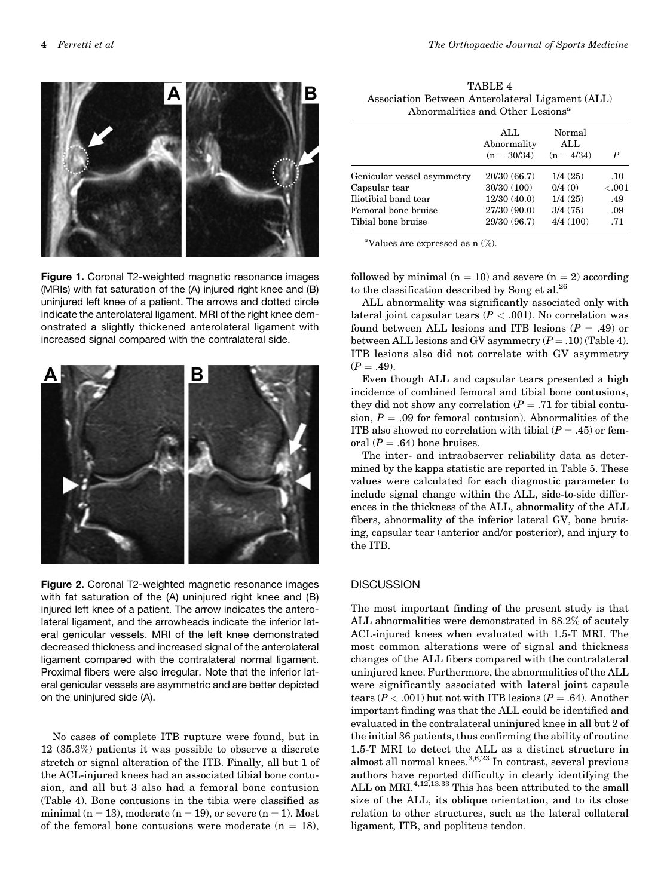

Figure 1. Coronal T2-weighted magnetic resonance images (MRIs) with fat saturation of the (A) injured right knee and (B) uninjured left knee of a patient. The arrows and dotted circle indicate the anterolateral ligament. MRI of the right knee demonstrated a slightly thickened anterolateral ligament with increased signal compared with the contralateral side.



Figure 2. Coronal T2-weighted magnetic resonance images with fat saturation of the (A) uninjured right knee and (B) injured left knee of a patient. The arrow indicates the anterolateral ligament, and the arrowheads indicate the inferior lateral genicular vessels. MRI of the left knee demonstrated decreased thickness and increased signal of the anterolateral ligament compared with the contralateral normal ligament. Proximal fibers were also irregular. Note that the inferior lateral genicular vessels are asymmetric and are better depicted on the uninjured side (A).

No cases of complete ITB rupture were found, but in 12 (35.3%) patients it was possible to observe a discrete stretch or signal alteration of the ITB. Finally, all but 1 of the ACL-injured knees had an associated tibial bone contusion, and all but 3 also had a femoral bone contusion (Table 4). Bone contusions in the tibia were classified as minimal ( $n = 13$ ), moderate ( $n = 19$ ), or severe ( $n = 1$ ). Most of the femoral bone contusions were moderate  $(n = 18)$ ,

TABLE 4 Association Between Anterolateral Ligament (ALL) Abnormalities and Other Lesions<sup> $a$ </sup>

|                            | ALL<br>Abnormality<br>$(n = 30/34)$ | Normal<br>ALL<br>$(n = 4/34)$ | P       |
|----------------------------|-------------------------------------|-------------------------------|---------|
| Genicular vessel asymmetry | 20/30 (66.7)                        | 1/4(25)                       | .10     |
| Capsular tear              | 30/30 (100)                         | 0/4(0)                        | < 0.001 |
| Iliotibial band tear       | 12/30(40.0)                         | 1/4(25)                       | .49     |
| Femoral bone bruise        | 27/30 (90.0)                        | 3/4(75)                       | .09     |
| Tibial bone bruise         | 29/30 (96.7)                        | 4/4(100)                      | .71     |

<sup>a</sup>Values are expressed as  $n$   $(\%)$ .

followed by minimal ( $n = 10$ ) and severe ( $n = 2$ ) according to the classification described by Song et al.26

ALL abnormality was significantly associated only with lateral joint capsular tears  $(P < .001)$ . No correlation was found between ALL lesions and ITB lesions  $(P = .49)$  or between ALL lesions and GV asymmetry  $(P = .10)$  (Table 4). ITB lesions also did not correlate with GV asymmetry  $(P = .49)$ .

Even though ALL and capsular tears presented a high incidence of combined femoral and tibial bone contusions, they did not show any correlation ( $P = .71$  for tibial contusion,  $P = .09$  for femoral contusion). Abnormalities of the ITB also showed no correlation with tibial  $(P = .45)$  or femoral ( $P = .64$ ) bone bruises.

The inter- and intraobserver reliability data as determined by the kappa statistic are reported in Table 5. These values were calculated for each diagnostic parameter to include signal change within the ALL, side-to-side differences in the thickness of the ALL, abnormality of the ALL fibers, abnormality of the inferior lateral GV, bone bruising, capsular tear (anterior and/or posterior), and injury to the ITB.

### **DISCUSSION**

The most important finding of the present study is that ALL abnormalities were demonstrated in 88.2% of acutely ACL-injured knees when evaluated with 1.5-T MRI. The most common alterations were of signal and thickness changes of the ALL fibers compared with the contralateral uninjured knee. Furthermore, the abnormalities of the ALL were significantly associated with lateral joint capsule tears ( $P < .001$ ) but not with ITB lesions ( $P = .64$ ). Another important finding was that the ALL could be identified and evaluated in the contralateral uninjured knee in all but 2 of the initial 36 patients, thus confirming the ability of routine 1.5-T MRI to detect the ALL as a distinct structure in almost all normal knees.3,6,23 In contrast, several previous authors have reported difficulty in clearly identifying the ALL on MRI. $4,12,13,33$  This has been attributed to the small size of the ALL, its oblique orientation, and to its close relation to other structures, such as the lateral collateral ligament, ITB, and popliteus tendon.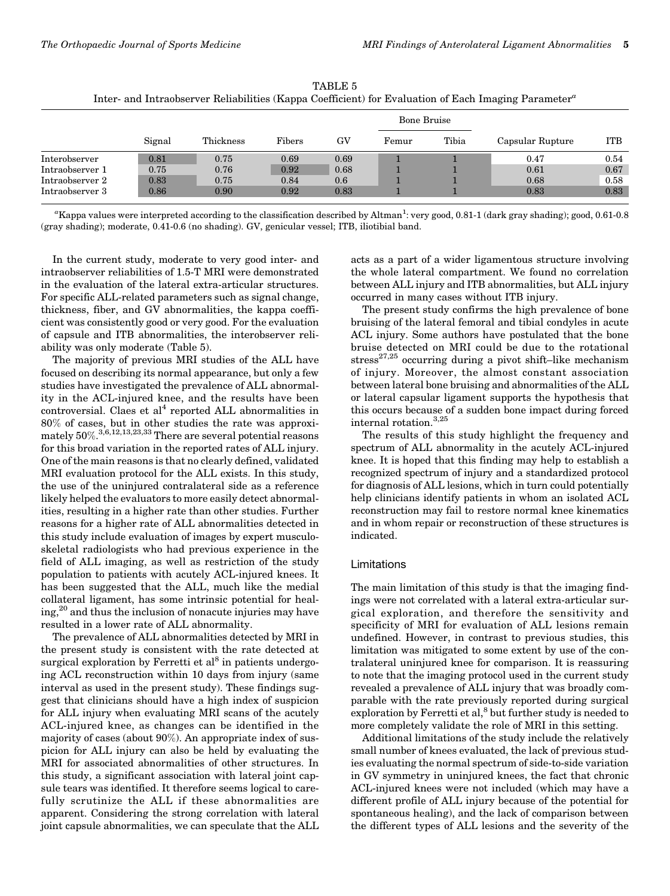| Inter- and Intraobserver Reliabilities (Kappa Coefficient) for Evaluation of Each Imaging Parameter <sup>a</sup> |        |           |        |      |             |       |                  |            |
|------------------------------------------------------------------------------------------------------------------|--------|-----------|--------|------|-------------|-------|------------------|------------|
|                                                                                                                  |        |           |        |      | Bone Bruise |       |                  |            |
|                                                                                                                  | Signal | Thickness | Fibers | GV   | Femur       | Tibia | Capsular Rupture | <b>ITB</b> |
| Interobserver                                                                                                    | 0.81   | 0.75      | 0.69   | 0.69 |             |       | 0.47             | 0.54       |
| Intraobserver 1                                                                                                  | 0.75   | 0.76      | 0.92   | 0.68 |             |       | 0.61             | 0.67       |

TABLE 5

"Kappa values were interpreted according to the classification described by Altman<sup>1</sup>: very good, 0.81-1 (dark gray shading); good, 0.61-0.8 (gray shading); moderate, 0.41-0.6 (no shading). GV, genicular vessel; ITB, iliotibial band.

Intraobserver 2 0.83 0.75 0.84 0.6 1 1 0.68 0.58 Intraobserver 3 0.86 0.90 0.92 0.83 1 1 0.83 0.83

In the current study, moderate to very good inter- and intraobserver reliabilities of 1.5-T MRI were demonstrated in the evaluation of the lateral extra-articular structures. For specific ALL-related parameters such as signal change, thickness, fiber, and GV abnormalities, the kappa coefficient was consistently good or very good. For the evaluation of capsule and ITB abnormalities, the interobserver reliability was only moderate (Table 5).

The majority of previous MRI studies of the ALL have focused on describing its normal appearance, but only a few studies have investigated the prevalence of ALL abnormality in the ACL-injured knee, and the results have been controversial. Claes et  $al<sup>4</sup>$  reported ALL abnormalities in 80% of cases, but in other studies the rate was approximately  $50\%.^{3,6,12,13,23,33}$  There are several potential reasons for this broad variation in the reported rates of ALL injury. One of the main reasons is that no clearly defined, validated MRI evaluation protocol for the ALL exists. In this study, the use of the uninjured contralateral side as a reference likely helped the evaluators to more easily detect abnormalities, resulting in a higher rate than other studies. Further reasons for a higher rate of ALL abnormalities detected in this study include evaluation of images by expert musculoskeletal radiologists who had previous experience in the field of ALL imaging, as well as restriction of the study population to patients with acutely ACL-injured knees. It has been suggested that the ALL, much like the medial collateral ligament, has some intrinsic potential for healing,<sup>20</sup> and thus the inclusion of nonacute injuries may have resulted in a lower rate of ALL abnormality.

The prevalence of ALL abnormalities detected by MRI in the present study is consistent with the rate detected at surgical exploration by Ferretti et  $al^8$  in patients undergoing ACL reconstruction within 10 days from injury (same interval as used in the present study). These findings suggest that clinicians should have a high index of suspicion for ALL injury when evaluating MRI scans of the acutely ACL-injured knee, as changes can be identified in the majority of cases (about 90%). An appropriate index of suspicion for ALL injury can also be held by evaluating the MRI for associated abnormalities of other structures. In this study, a significant association with lateral joint capsule tears was identified. It therefore seems logical to carefully scrutinize the ALL if these abnormalities are apparent. Considering the strong correlation with lateral joint capsule abnormalities, we can speculate that the ALL acts as a part of a wider ligamentous structure involving the whole lateral compartment. We found no correlation between ALL injury and ITB abnormalities, but ALL injury occurred in many cases without ITB injury.

The present study confirms the high prevalence of bone bruising of the lateral femoral and tibial condyles in acute ACL injury. Some authors have postulated that the bone bruise detected on MRI could be due to the rotational  $stress<sup>27,25</sup> occurring during a pivot shift-like mechanism$ of injury. Moreover, the almost constant association between lateral bone bruising and abnormalities of the ALL or lateral capsular ligament supports the hypothesis that this occurs because of a sudden bone impact during forced internal rotation.3,25

The results of this study highlight the frequency and spectrum of ALL abnormality in the acutely ACL-injured knee. It is hoped that this finding may help to establish a recognized spectrum of injury and a standardized protocol for diagnosis of ALL lesions, which in turn could potentially help clinicians identify patients in whom an isolated ACL reconstruction may fail to restore normal knee kinematics and in whom repair or reconstruction of these structures is indicated.

#### Limitations

The main limitation of this study is that the imaging findings were not correlated with a lateral extra-articular surgical exploration, and therefore the sensitivity and specificity of MRI for evaluation of ALL lesions remain undefined. However, in contrast to previous studies, this limitation was mitigated to some extent by use of the contralateral uninjured knee for comparison. It is reassuring to note that the imaging protocol used in the current study revealed a prevalence of ALL injury that was broadly comparable with the rate previously reported during surgical exploration by Ferretti et al, $^8$  but further study is needed to more completely validate the role of MRI in this setting.

Additional limitations of the study include the relatively small number of knees evaluated, the lack of previous studies evaluating the normal spectrum of side-to-side variation in GV symmetry in uninjured knees, the fact that chronic ACL-injured knees were not included (which may have a different profile of ALL injury because of the potential for spontaneous healing), and the lack of comparison between the different types of ALL lesions and the severity of the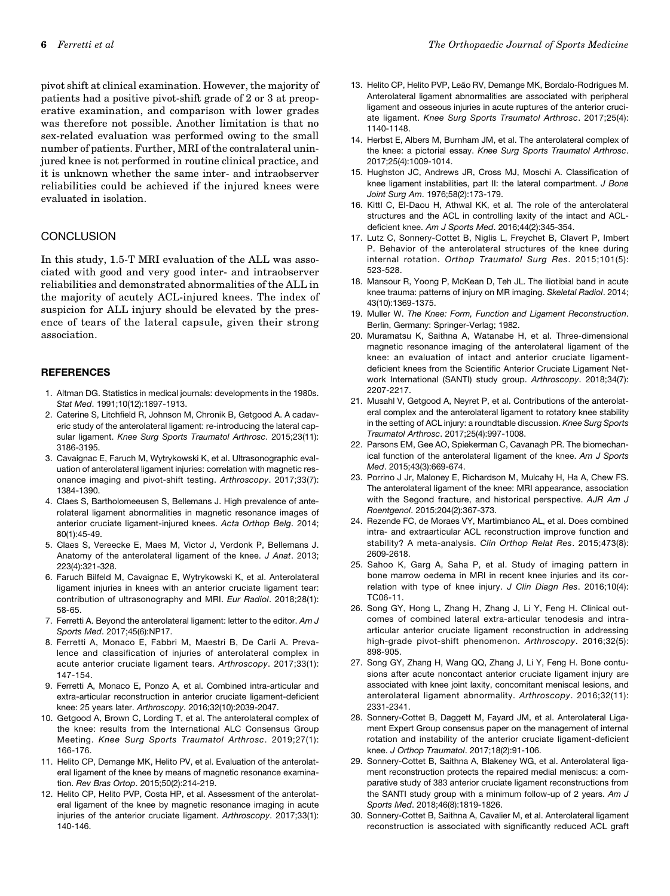pivot shift at clinical examination. However, the majority of patients had a positive pivot-shift grade of 2 or 3 at preoperative examination, and comparison with lower grades was therefore not possible. Another limitation is that no sex-related evaluation was performed owing to the small number of patients. Further, MRI of the contralateral uninjured knee is not performed in routine clinical practice, and it is unknown whether the same inter- and intraobserver reliabilities could be achieved if the injured knees were evaluated in isolation.

# **CONCLUSION**

In this study, 1.5-T MRI evaluation of the ALL was associated with good and very good inter- and intraobserver reliabilities and demonstrated abnormalities of the ALL in the majority of acutely ACL-injured knees. The index of suspicion for ALL injury should be elevated by the presence of tears of the lateral capsule, given their strong association.

#### **REFERENCES**

- 1. Altman DG. Statistics in medical journals: developments in the 1980s. Stat Med. 1991;10(12):1897-1913.
- 2. Caterine S, Litchfield R, Johnson M, Chronik B, Getgood A. A cadaveric study of the anterolateral ligament: re-introducing the lateral capsular ligament. Knee Surg Sports Traumatol Arthrosc. 2015;23(11): 3186-3195.
- 3. Cavaignac E, Faruch M, Wytrykowski K, et al. Ultrasonographic evaluation of anterolateral ligament injuries: correlation with magnetic resonance imaging and pivot-shift testing. Arthroscopy. 2017;33(7): 1384-1390.
- 4. Claes S, Bartholomeeusen S, Bellemans J. High prevalence of anterolateral ligament abnormalities in magnetic resonance images of anterior cruciate ligament-injured knees. Acta Orthop Belg. 2014; 80(1):45-49.
- 5. Claes S, Vereecke E, Maes M, Victor J, Verdonk P, Bellemans J. Anatomy of the anterolateral ligament of the knee. J Anat. 2013; 223(4):321-328.
- 6. Faruch Bilfeld M, Cavaignac E, Wytrykowski K, et al. Anterolateral ligament injuries in knees with an anterior cruciate ligament tear: contribution of ultrasonography and MRI. Eur Radiol. 2018;28(1): 58-65.
- 7. Ferretti A. Beyond the anterolateral ligament: letter to the editor. Am J Sports Med. 2017;45(6):NP17.
- 8. Ferretti A, Monaco E, Fabbri M, Maestri B, De Carli A. Prevalence and classification of injuries of anterolateral complex in acute anterior cruciate ligament tears. Arthroscopy. 2017;33(1): 147-154.
- 9. Ferretti A, Monaco E, Ponzo A, et al. Combined intra-articular and extra-articular reconstruction in anterior cruciate ligament-deficient knee: 25 years later. Arthroscopy. 2016;32(10):2039-2047.
- 10. Getgood A, Brown C, Lording T, et al. The anterolateral complex of the knee: results from the International ALC Consensus Group Meeting. Knee Surg Sports Traumatol Arthrosc. 2019;27(1): 166-176.
- 11. Helito CP, Demange MK, Helito PV, et al. Evaluation of the anterolateral ligament of the knee by means of magnetic resonance examination. Rev Bras Ortop. 2015;50(2):214-219.
- 12. Helito CP, Helito PVP, Costa HP, et al. Assessment of the anterolateral ligament of the knee by magnetic resonance imaging in acute injuries of the anterior cruciate ligament. Arthroscopy. 2017;33(1): 140-146.
- 13. Helito CP, Helito PVP, Leão RV, Demange MK, Bordalo-Rodrigues M. Anterolateral ligament abnormalities are associated with peripheral ligament and osseous injuries in acute ruptures of the anterior cruciate ligament. Knee Surg Sports Traumatol Arthrosc. 2017;25(4): 1140-1148.
- 14. Herbst E, Albers M, Burnham JM, et al. The anterolateral complex of the knee: a pictorial essay. Knee Surg Sports Traumatol Arthrosc. 2017;25(4):1009-1014.
- 15. Hughston JC, Andrews JR, Cross MJ, Moschi A. Classification of knee ligament instabilities, part II: the lateral compartment. J Bone Joint Surg Am. 1976;58(2):173-179.
- 16. Kittl C, El-Daou H, Athwal KK, et al. The role of the anterolateral structures and the ACL in controlling laxity of the intact and ACLdeficient knee. Am J Sports Med. 2016;44(2):345-354.
- 17. Lutz C, Sonnery-Cottet B, Niglis L, Freychet B, Clavert P, Imbert P. Behavior of the anterolateral structures of the knee during internal rotation. Orthop Traumatol Surg Res. 2015;101(5): 523-528.
- 18. Mansour R, Yoong P, McKean D, Teh JL. The iliotibial band in acute knee trauma: patterns of injury on MR imaging. Skeletal Radiol. 2014; 43(10):1369-1375.
- 19. Muller W. The Knee: Form, Function and Ligament Reconstruction. Berlin, Germany: Springer-Verlag; 1982.
- 20. Muramatsu K, Saithna A, Watanabe H, et al. Three-dimensional magnetic resonance imaging of the anterolateral ligament of the knee: an evaluation of intact and anterior cruciate ligamentdeficient knees from the Scientific Anterior Cruciate Ligament Network International (SANTI) study group. Arthroscopy. 2018;34(7): 2207-2217.
- 21. Musahl V, Getgood A, Neyret P, et al. Contributions of the anterolateral complex and the anterolateral ligament to rotatory knee stability in the setting of ACL injury: a roundtable discussion. Knee Surg Sports Traumatol Arthrosc. 2017;25(4):997-1008.
- 22. Parsons EM, Gee AO, Spiekerman C, Cavanagh PR. The biomechanical function of the anterolateral ligament of the knee. Am J Sports Med. 2015;43(3):669-674.
- 23. Porrino J Jr, Maloney E, Richardson M, Mulcahy H, Ha A, Chew FS. The anterolateral ligament of the knee: MRI appearance, association with the Segond fracture, and historical perspective. AJR Am J Roentgenol. 2015;204(2):367-373.
- 24. Rezende FC, de Moraes VY, Martimbianco AL, et al. Does combined intra- and extraarticular ACL reconstruction improve function and stability? A meta-analysis. Clin Orthop Relat Res. 2015;473(8): 2609-2618.
- 25. Sahoo K, Garg A, Saha P, et al. Study of imaging pattern in bone marrow oedema in MRI in recent knee injuries and its correlation with type of knee injury. J Clin Diagn Res. 2016;10(4): TC06-11.
- 26. Song GY, Hong L, Zhang H, Zhang J, Li Y, Feng H. Clinical outcomes of combined lateral extra-articular tenodesis and intraarticular anterior cruciate ligament reconstruction in addressing high-grade pivot-shift phenomenon. Arthroscopy. 2016;32(5): 898-905.
- 27. Song GY, Zhang H, Wang QQ, Zhang J, Li Y, Feng H. Bone contusions after acute noncontact anterior cruciate ligament injury are associated with knee joint laxity, concomitant meniscal lesions, and anterolateral ligament abnormality. Arthroscopy. 2016;32(11): 2331-2341.
- 28. Sonnery-Cottet B, Daggett M, Fayard JM, et al. Anterolateral Ligament Expert Group consensus paper on the management of internal rotation and instability of the anterior cruciate ligament-deficient knee. J Orthop Traumatol. 2017;18(2):91-106.
- 29. Sonnery-Cottet B, Saithna A, Blakeney WG, et al. Anterolateral ligament reconstruction protects the repaired medial meniscus: a comparative study of 383 anterior cruciate ligament reconstructions from the SANTI study group with a minimum follow-up of 2 years. Am J Sports Med. 2018;46(8):1819-1826.
- 30. Sonnery-Cottet B, Saithna A, Cavalier M, et al. Anterolateral ligament reconstruction is associated with significantly reduced ACL graft